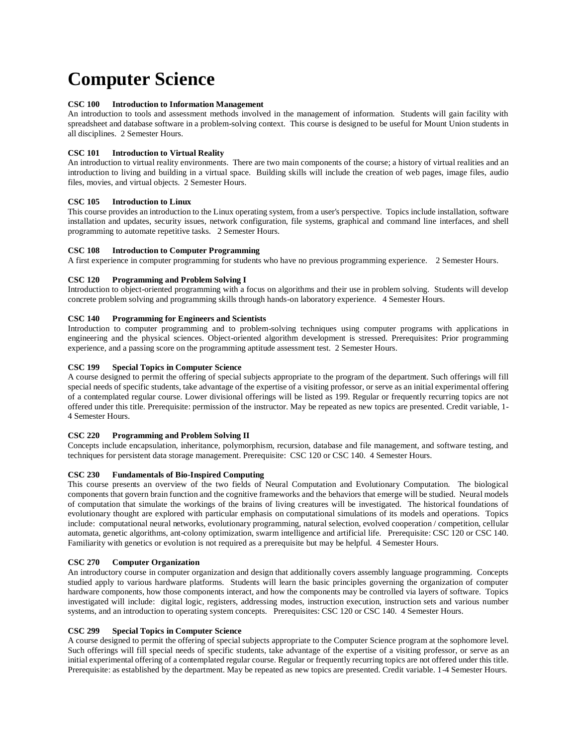# **Computer Science**

## **CSC 100 Introduction to Information Management**

An introduction to tools and assessment methods involved in the management of information. Students will gain facility with spreadsheet and database software in a problem-solving context. This course is designed to be useful for Mount Union students in all disciplines. 2 Semester Hours.

## **CSC 101 Introduction to Virtual Reality**

An introduction to virtual reality environments. There are two main components of the course; a history of virtual realities and an introduction to living and building in a virtual space. Building skills will include the creation of web pages, image files, audio files, movies, and virtual objects. 2 Semester Hours.

## **CSC 105 Introduction to Linux**

This course provides an introduction to the Linux operating system, from a user's perspective. Topics include installation, software installation and updates, security issues, network configuration, file systems, graphical and command line interfaces, and shell programming to automate repetitive tasks. 2 Semester Hours.

## **CSC 108 Introduction to Computer Programming**

A first experience in computer programming for students who have no previous programming experience. 2 Semester Hours.

## **CSC 120 Programming and Problem Solving I**

Introduction to object-oriented programming with a focus on algorithms and their use in problem solving. Students will develop concrete problem solving and programming skills through hands-on laboratory experience. 4 Semester Hours.

# **CSC 140 Programming for Engineers and Scientists**

Introduction to computer programming and to problem-solving techniques using computer programs with applications in engineering and the physical sciences. Object-oriented algorithm development is stressed. Prerequisites: Prior programming experience, and a passing score on the programming aptitude assessment test. 2 Semester Hours.

## **CSC 199 Special Topics in Computer Science**

A course designed to permit the offering of special subjects appropriate to the program of the department. Such offerings will fill special needs of specific students, take advantage of the expertise of a visiting professor, or serve as an initial experimental offering of a contemplated regular course. Lower divisional offerings will be listed as 199. Regular or frequently recurring topics are not offered under this title. Prerequisite: permission of the instructor. May be repeated as new topics are presented. Credit variable, 1- 4 Semester Hours.

#### **CSC 220 Programming and Problem Solving II**

Concepts include encapsulation, inheritance, polymorphism, recursion, database and file management, and software testing, and techniques for persistent data storage management. Prerequisite: CSC 120 or CSC 140. 4 Semester Hours.

## **CSC 230 Fundamentals of Bio-Inspired Computing**

This course presents an overview of the two fields of Neural Computation and Evolutionary Computation. The biological components that govern brain function and the cognitive frameworks and the behaviors that emerge will be studied. Neural models of computation that simulate the workings of the brains of living creatures will be investigated. The historical foundations of evolutionary thought are explored with particular emphasis on computational simulations of its models and operations. Topics include: computational neural networks, evolutionary programming, natural selection, evolved cooperation / competition, cellular automata, genetic algorithms, ant-colony optimization, swarm intelligence and artificial life. Prerequisite: CSC 120 or CSC 140. Familiarity with genetics or evolution is not required as a prerequisite but may be helpful. 4 Semester Hours.

#### **CSC 270 Computer Organization**

An introductory course in computer organization and design that additionally covers assembly language programming. Concepts studied apply to various hardware platforms. Students will learn the basic principles governing the organization of computer hardware components, how those components interact, and how the components may be controlled via layers of software. Topics investigated will include: digital logic, registers, addressing modes, instruction execution, instruction sets and various number systems, and an introduction to operating system concepts. Prerequisites: CSC 120 or CSC 140. 4 Semester Hours.

#### **CSC 299 Special Topics in Computer Science**

A course designed to permit the offering of special subjects appropriate to the Computer Science program at the sophomore level. Such offerings will fill special needs of specific students, take advantage of the expertise of a visiting professor, or serve as an initial experimental offering of a contemplated regular course. Regular or frequently recurring topics are not offered under this title. Prerequisite: as established by the department. May be repeated as new topics are presented. Credit variable. 1-4 Semester Hours.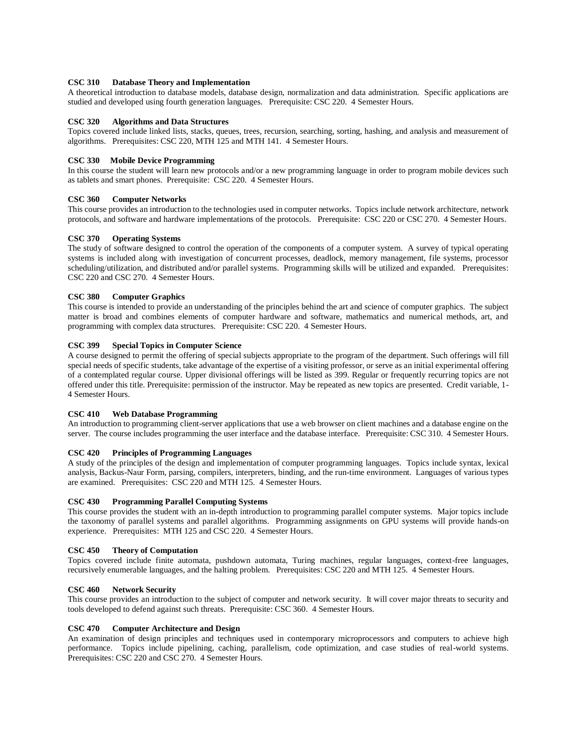## **CSC 310 Database Theory and Implementation**

A theoretical introduction to database models, database design, normalization and data administration. Specific applications are studied and developed using fourth generation languages. Prerequisite: CSC 220. 4 Semester Hours.

#### **CSC 320 Algorithms and Data Structures**

Topics covered include linked lists, stacks, queues, trees, recursion, searching, sorting, hashing, and analysis and measurement of algorithms. Prerequisites: CSC 220, MTH 125 and MTH 141. 4 Semester Hours.

## **CSC 330 Mobile Device Programming**

In this course the student will learn new protocols and/or a new programming language in order to program mobile devices such as tablets and smart phones. Prerequisite: CSC 220. 4 Semester Hours.

## **CSC 360 Computer Networks**

This course provides an introduction to the technologies used in computer networks. Topics include network architecture, network protocols, and software and hardware implementations of the protocols. Prerequisite: CSC 220 or CSC 270. 4 Semester Hours.

## **CSC 370 Operating Systems**

The study of software designed to control the operation of the components of a computer system. A survey of typical operating systems is included along with investigation of concurrent processes, deadlock, memory management, file systems, processor scheduling/utilization, and distributed and/or parallel systems. Programming skills will be utilized and expanded. Prerequisites: CSC 220 and CSC 270. 4 Semester Hours.

## **CSC 380 Computer Graphics**

This course is intended to provide an understanding of the principles behind the art and science of computer graphics. The subject matter is broad and combines elements of computer hardware and software, mathematics and numerical methods, art, and programming with complex data structures. Prerequisite: CSC 220. 4 Semester Hours.

## **CSC 399 Special Topics in Computer Science**

A course designed to permit the offering of special subjects appropriate to the program of the department. Such offerings will fill special needs of specific students, take advantage of the expertise of a visiting professor, or serve as an initial experimental offering of a contemplated regular course. Upper divisional offerings will be listed as 399. Regular or frequently recurring topics are not offered under this title. Prerequisite: permission of the instructor. May be repeated as new topics are presented. Credit variable, 1- 4 Semester Hours.

## **CSC 410 Web Database Programming**

An introduction to programming client-server applications that use a web browser on client machines and a database engine on the server. The course includes programming the user interface and the database interface. Prerequisite: CSC 310. 4 Semester Hours.

#### **CSC 420 Principles of Programming Languages**

A study of the principles of the design and implementation of computer programming languages. Topics include syntax, lexical analysis, Backus-Naur Form, parsing, compilers, interpreters, binding, and the run-time environment. Languages of various types are examined. Prerequisites: CSC 220 and MTH 125. 4 Semester Hours.

#### **CSC 430 Programming Parallel Computing Systems**

This course provides the student with an in-depth introduction to programming parallel computer systems. Major topics include the taxonomy of parallel systems and parallel algorithms. Programming assignments on GPU systems will provide hands-on experience. Prerequisites: MTH 125 and CSC 220. 4 Semester Hours.

## **CSC 450 Theory of Computation**

Topics covered include finite automata, pushdown automata, Turing machines, regular languages, context-free languages, recursively enumerable languages, and the halting problem. Prerequisites: CSC 220 and MTH 125. 4 Semester Hours.

#### **CSC 460 Network Security**

This course provides an introduction to the subject of computer and network security. It will cover major threats to security and tools developed to defend against such threats. Prerequisite: CSC 360. 4 Semester Hours.

#### **CSC 470 Computer Architecture and Design**

An examination of design principles and techniques used in contemporary microprocessors and computers to achieve high performance. Topics include pipelining, caching, parallelism, code optimization, and case studies of real-world systems. Prerequisites: CSC 220 and CSC 270. 4 Semester Hours.